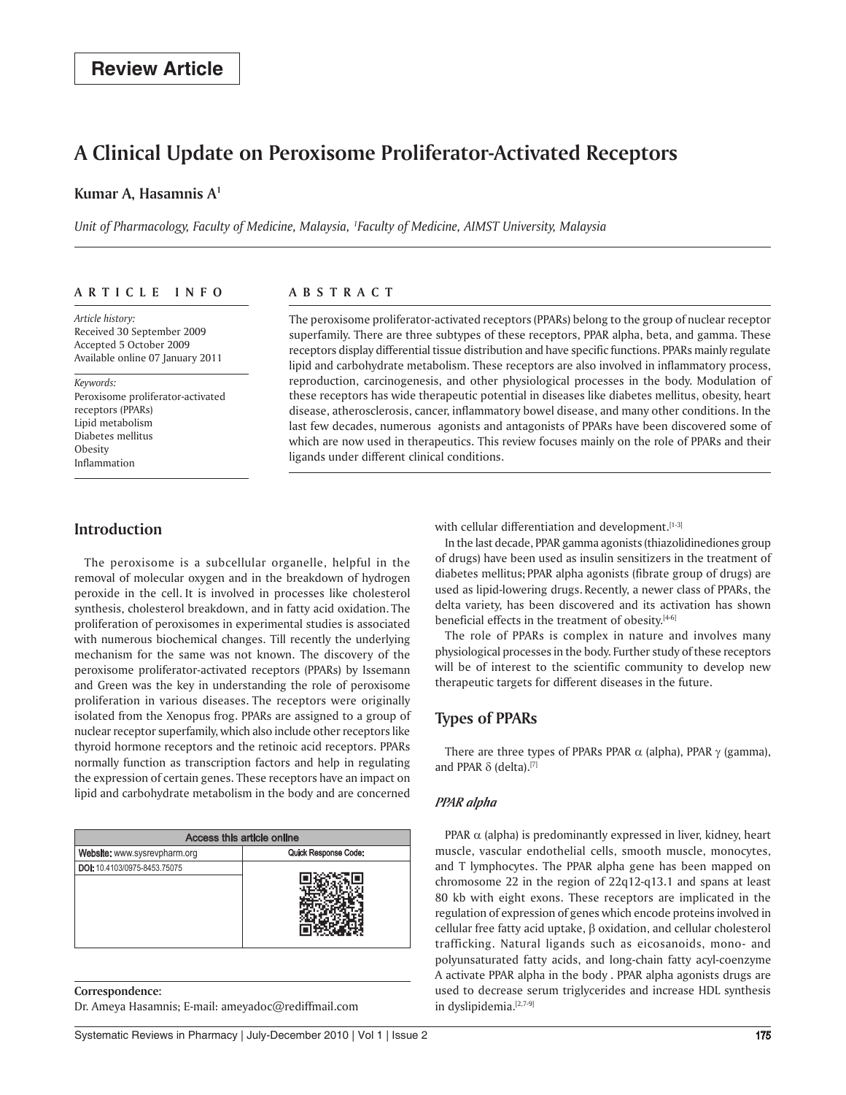# **A Clinical Update on Peroxisome Proliferator-Activated Receptors**

#### **Kumar A, Hasamnis A1**

*Unit of Pharmacology, Faculty of Medicine, Malaysia, 1 Faculty of Medicine, AIMST University, Malaysia*

#### **ar t ic l e i n f o**

*Article history:*  Received 30 September 2009 Accepted 5 October 2009 Available online 07 January 2011

*Keywords:*  Peroxisome proliferator-activated receptors (PPARs) Lipid metabolism Diabetes mellitus **Obesity** Inflammation

#### **A bs t rac t**

The peroxisome proliferator-activated receptors (PPARs) belong to the group of nuclear receptor superfamily. There are three subtypes of these receptors, PPAR alpha, beta, and gamma. These receptors display differential tissue distribution and have specific functions. PPARs mainly regulate lipid and carbohydrate metabolism. These receptors are also involved in inflammatory process, reproduction, carcinogenesis, and other physiological processes in the body. Modulation of these receptors has wide therapeutic potential in diseases like diabetes mellitus, obesity, heart disease, atherosclerosis, cancer, inflammatory bowel disease, and many other conditions. In the last few decades, numerous agonists and antagonists of PPARs have been discovered some of which are now used in therapeutics. This review focuses mainly on the role of PPARs and their ligands under different clinical conditions.

### **Introduction**

The peroxisome is a subcellular organelle, helpful in the removal of molecular oxygen and in the breakdown of hydrogen peroxide in the cell. It is involved in processes like cholesterol synthesis, cholesterol breakdown, and in fatty acid oxidation. The proliferation of peroxisomes in experimental studies is associated with numerous biochemical changes. Till recently the underlying mechanism for the same was not known. The discovery of the peroxisome proliferator-activated receptors (PPARs) by Issemann and Green was the key in understanding the role of peroxisome proliferation in various diseases. The receptors were originally isolated from the Xenopus frog. PPARs are assigned to a group of nuclear receptor superfamily, which also include other receptors like thyroid hormone receptors and the retinoic acid receptors. PPARs normally function as transcription factors and help in regulating the expression of certain genes. These receptors have an impact on lipid and carbohydrate metabolism in the body and are concerned

| Access this article online   |                      |  |
|------------------------------|----------------------|--|
| Website: www.sysrevpharm.org | Quick Response Code: |  |
| DOI: 10.4103/0975-8453.75075 |                      |  |
|                              |                      |  |
|                              |                      |  |
|                              |                      |  |
|                              |                      |  |

**Correspondence:** Dr. Ameya Hasamnis; E-mail: ameyadoc@rediffmail.com with cellular differentiation and development.<sup>[1-3]</sup>

In the last decade, PPAR gamma agonists (thiazolidinediones group of drugs) have been used as insulin sensitizers in the treatment of diabetes mellitus; PPAR alpha agonists (fibrate group of drugs) are used as lipid-lowering drugs. Recently, a newer class of PPARs, the delta variety, has been discovered and its activation has shown beneficial effects in the treatment of obesity.<sup>[4-6]</sup>

The role of PPARs is complex in nature and involves many physiological processes in the body. Further study of these receptors will be of interest to the scientific community to develop new therapeutic targets for different diseases in the future.

## **Types of PPARs**

There are three types of PPARs PPAR  $\alpha$  (alpha), PPAR  $\gamma$  (gamma), and PPAR  $\delta$  (delta).[7]

#### *PPAR alpha*

PPAR  $\alpha$  (alpha) is predominantly expressed in liver, kidney, heart muscle, vascular endothelial cells, smooth muscle, monocytes, and T lymphocytes. The PPAR alpha gene has been mapped on chromosome 22 in the region of 22q12-q13.1 and spans at least 80 kb with eight exons. These receptors are implicated in the regulation of expression of genes which encode proteins involved in cellular free fatty acid uptake, β oxidation, and cellular cholesterol trafficking. Natural ligands such as eicosanoids, mono- and polyunsaturated fatty acids, and long-chain fatty acyl-coenzyme A activate PPAR alpha in the body . PPAR alpha agonists drugs are used to decrease serum triglycerides and increase HDL synthesis in dyslipidemia.[2,7-9]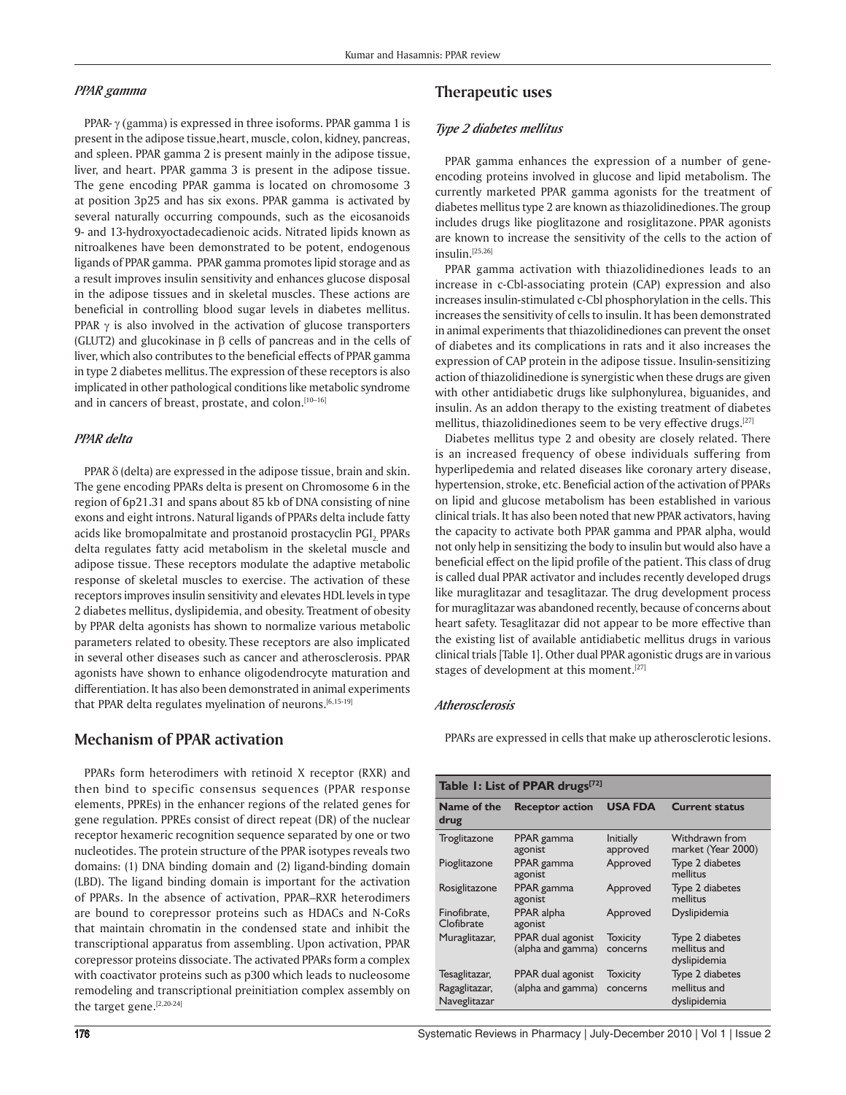#### *PPAR gamma*

PPAR- γ (gamma) is expressed in three isoforms. PPAR gamma 1 is present in the adipose tissue,heart, muscle, colon, kidney, pancreas, and spleen. PPAR gamma 2 is present mainly in the adipose tissue, liver, and heart. PPAR gamma 3 is present in the adipose tissue. The gene encoding PPAR gamma is located on chromosome 3 at position 3p25 and has six exons. PPAR gamma is activated by several naturally occurring compounds, such as the eicosanoids 9- and 13-hydroxyoctadecadienoic acids. Nitrated lipids known as nitroalkenes have been demonstrated to be potent, endogenous ligands of PPAR gamma. PPAR gamma promotes lipid storage and as a result improves insulin sensitivity and enhances glucose disposal in the adipose tissues and in skeletal muscles. These actions are beneficial in controlling blood sugar levels in diabetes mellitus. PPAR  $\gamma$  is also involved in the activation of glucose transporters (GLUT2) and glucokinase in  $\beta$  cells of pancreas and in the cells of liver, which also contributes to the beneficial effects of PPAR gamma in type 2 diabetes mellitus.The expression of these receptors is also implicated in other pathological conditions like metabolic syndrome and in cancers of breast, prostate, and colon.[10-16]

#### *PPAR delta*

PPAR  $\delta$  (delta) are expressed in the adipose tissue, brain and skin. The gene encoding PPARs delta is present on Chromosome 6 in the region of 6p21.31 and spans about 85 kb of DNA consisting of nine exons and eight introns. Natural ligands of PPARs delta include fatty acids like bromopalmitate and prostanoid prostacyclin PGI<sub>2.</sub> PPARs delta regulates fatty acid metabolism in the skeletal muscle and adipose tissue. These receptors modulate the adaptive metabolic response of skeletal muscles to exercise. The activation of these receptors improves insulin sensitivity and elevates HDL levels in type 2 diabetes mellitus, dyslipidemia, and obesity. Treatment of obesity by PPAR delta agonists has shown to normalize various metabolic parameters related to obesity. These receptors are also implicated in several other diseases such as cancer and atherosclerosis. PPAR agonists have shown to enhance oligodendrocyte maturation and differentiation. It has also been demonstrated in animal experiments that PPAR delta regulates myelination of neurons.[6,15-19]

### **Mechanism of PPAR activation**

PPARs form heterodimers with retinoid X receptor (RXR) and then bind to specific consensus sequences (PPAR response elements, PPREs) in the enhancer regions of the related genes for gene regulation. PPREs consist of direct repeat (DR) of the nuclear receptor hexameric recognition sequence separated by one or two nucleotides. The protein structure of the PPAR isotypes reveals two domains: (1) DNA binding domain and (2) ligand-binding domain (LBD). The ligand binding domain is important for the activation of PPARs. In the absence of activation, PPAR–RXR heterodimers are bound to corepressor proteins such as HDACs and N-CoRs that maintain chromatin in the condensed state and inhibit the transcriptional apparatus from assembling. Upon activation, PPAR corepressor proteins dissociate. The activated PPARs form a complex with coactivator proteins such as p300 which leads to nucleosome remodeling and transcriptional preinitiation complex assembly on the target gene.[2,20-24]

## **Therapeutic uses**

#### *Type 2 diabetes mellitus*

PPAR gamma enhances the expression of a number of geneencoding proteins involved in glucose and lipid metabolism. The currently marketed PPAR gamma agonists for the treatment of diabetes mellitus type 2 are known as thiazolidinediones.The group includes drugs like pioglitazone and rosiglitazone. PPAR agonists are known to increase the sensitivity of the cells to the action of insulin.[25,26]

PPAR gamma activation with thiazolidinediones leads to an increase in c-Cbl-associating protein (CAP) expression and also increases insulin-stimulated c-Cbl phosphorylation in the cells. This increases the sensitivity of cells to insulin. It has been demonstrated in animal experiments that thiazolidinediones can prevent the onset of diabetes and its complications in rats and it also increases the expression of CAP protein in the adipose tissue. Insulin-sensitizing action of thiazolidinedione is synergistic when these drugs are given with other antidiabetic drugs like sulphonylurea, biguanides, and insulin. As an addon therapy to the existing treatment of diabetes mellitus, thiazolidinediones seem to be very effective drugs.<sup>[27]</sup>

Diabetes mellitus type 2 and obesity are closely related. There is an increased frequency of obese individuals suffering from hyperlipedemia and related diseases like coronary artery disease, hypertension, stroke, etc. Beneficial action of the activation of PPARs on lipid and glucose metabolism has been established in various clinical trials. It has also been noted that new PPAR activators, having the capacity to activate both PPAR gamma and PPAR alpha, would not only help in sensitizing the body to insulin but would also have a beneficial effect on the lipid profile of the patient. This class of drug is called dual PPAR activator and includes recently developed drugs like muraglitazar and tesaglitazar. The drug development process for muraglitazar was abandoned recently, because of concerns about heart safety. Tesaglitazar did not appear to be more effective than the existing list of available antidiabetic mellitus drugs in various clinical trials [Table 1]. Other dual PPAR agonistic drugs are in various stages of development at this moment.<sup>[27]</sup>

#### *Atherosclerosis*

PPARs are expressed in cells that make up atherosclerotic lesions.

| Table 1: List of PPAR drugs <sup>[72]</sup> |                                        |                              |                                                 |  |
|---------------------------------------------|----------------------------------------|------------------------------|-------------------------------------------------|--|
| Name of the<br>drug                         | <b>Receptor action</b>                 | <b>USA FDA</b>               | <b>Current status</b>                           |  |
| Troglitazone                                | PPAR gamma<br>agonist                  | <b>Initially</b><br>approved | Withdrawn from<br>market (Year 2000)            |  |
| Pioglitazone                                | PPAR gamma<br>agonist                  | Approved                     | Type 2 diabetes<br>mellitus                     |  |
| Rosiglitazone                               | PPAR gamma<br>agonist                  | Approved                     | Type 2 diabetes<br>mellitus                     |  |
| Finofibrate.<br>Clofibrate                  | PPAR alpha<br>agonist                  | Approved                     | Dyslipidemia                                    |  |
| Muraglitazar,                               | PPAR dual agonist<br>(alpha and gamma) | <b>Toxicity</b><br>concerns  | Type 2 diabetes<br>mellitus and<br>dyslipidemia |  |
| Tesaglitazar,<br>Ragaglitazar,              | PPAR dual agonist<br>(alpha and gamma) | <b>Toxicity</b>              | Type 2 diabetes<br>mellitus and                 |  |
| Naveglitazar                                |                                        | concerns                     | dyslipidemia                                    |  |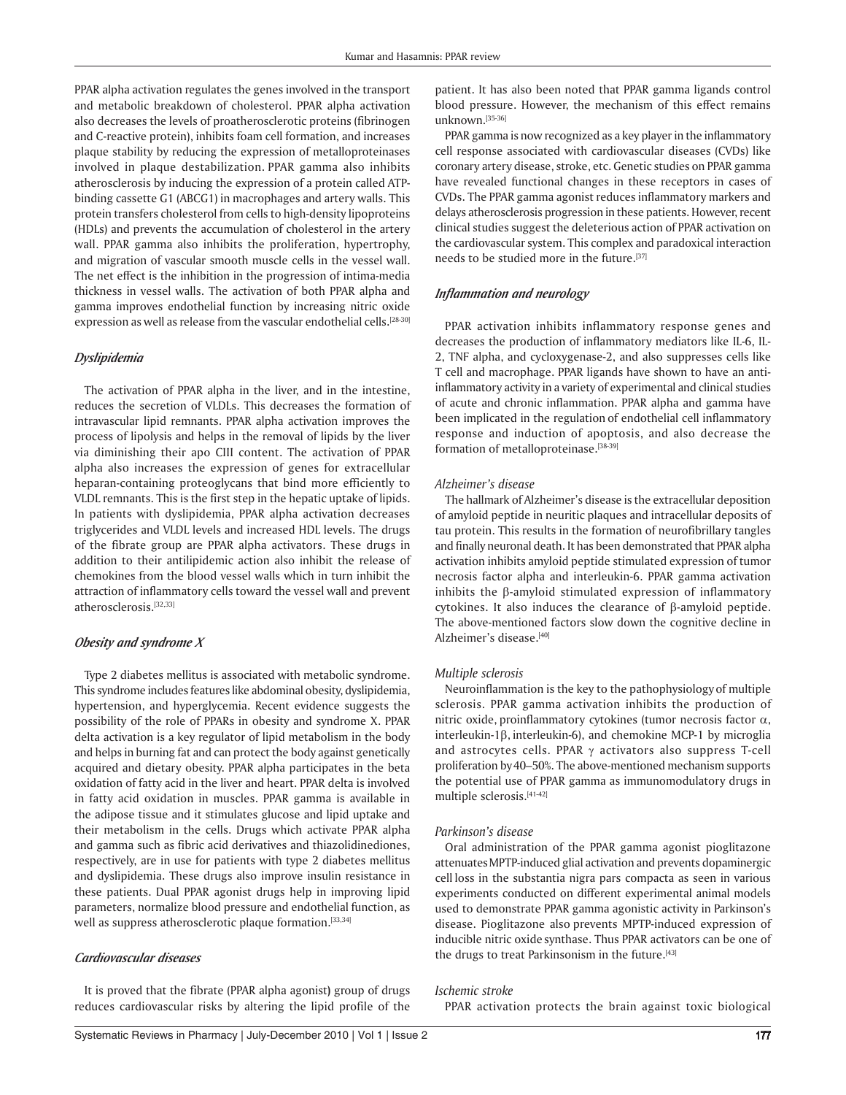PPAR alpha activation regulates the genes involved in the transport and metabolic breakdown of cholesterol. PPAR alpha activation also decreases the levels of proatherosclerotic proteins (fibrinogen and C-reactive protein), inhibits foam cell formation, and increases plaque stability by reducing the expression of metalloproteinases involved in plaque destabilization. PPAR gamma also inhibits atherosclerosis by inducing the expression of a protein called ATPbinding cassette G1 (ABCG1) in macrophages and artery walls. This protein transfers cholesterol from cells to high-density lipoproteins (HDLs) and prevents the accumulation of cholesterol in the artery wall. PPAR gamma also inhibits the proliferation, hypertrophy, and migration of vascular smooth muscle cells in the vessel wall. The net effect is the inhibition in the progression of intima-media thickness in vessel walls. The activation of both PPAR alpha and gamma improves endothelial function by increasing nitric oxide expression as well as release from the vascular endothelial cells.<sup>[28-30]</sup>

#### *Dyslipidemia*

The activation of PPAR alpha in the liver, and in the intestine, reduces the secretion of VLDLs. This decreases the formation of intravascular lipid remnants. PPAR alpha activation improves the process of lipolysis and helps in the removal of lipids by the liver via diminishing their apo CIII content. The activation of PPAR alpha also increases the expression of genes for extracellular heparan-containing proteoglycans that bind more efficiently to VLDL remnants. This is the first step in the hepatic uptake of lipids. In patients with dyslipidemia, PPAR alpha activation decreases triglycerides and VLDL levels and increased HDL levels. The drugs of the fibrate group are PPAR alpha activators. These drugs in addition to their antilipidemic action also inhibit the release of chemokines from the blood vessel walls which in turn inhibit the attraction of inflammatory cells toward the vessel wall and prevent atherosclerosis.[32,33]

#### *Obesity and syndrome X*

Type 2 diabetes mellitus is associated with metabolic syndrome. This syndrome includes features like abdominal obesity, dyslipidemia, hypertension, and hyperglycemia. Recent evidence suggests the possibility of the role of PPARs in obesity and syndrome X. PPAR delta activation is a key regulator of lipid metabolism in the body and helps in burning fat and can protect the body against genetically acquired and dietary obesity. PPAR alpha participates in the beta oxidation of fatty acid in the liver and heart. PPAR delta is involved in fatty acid oxidation in muscles. PPAR gamma is available in the adipose tissue and it stimulates glucose and lipid uptake and their metabolism in the cells. Drugs which activate PPAR alpha and gamma such as fibric acid derivatives and thiazolidinediones, respectively, are in use for patients with type 2 diabetes mellitus and dyslipidemia. These drugs also improve insulin resistance in these patients. Dual PPAR agonist drugs help in improving lipid parameters, normalize blood pressure and endothelial function, as well as suppress atherosclerotic plaque formation.<sup>[33,34]</sup>

#### *Cardiovascular diseases*

It is proved that the fibrate (PPAR alpha agonist**)** group of drugs reduces cardiovascular risks by altering the lipid profile of the patient. It has also been noted that PPAR gamma ligands control blood pressure. However, the mechanism of this effect remains unknown.[35-36]

PPAR gamma is now recognized as a key player in the inflammatory cell response associated with cardiovascular diseases (CVDs) like coronary artery disease, stroke, etc. Genetic studies on PPAR gamma have revealed functional changes in these receptors in cases of CVDs. The PPAR gamma agonist reduces inflammatory markers and delays atherosclerosis progression in these patients. However, recent clinical studies suggest the deleterious action of PPAR activation on the cardiovascular system. This complex and paradoxical interaction needs to be studied more in the future.<sup>[37]</sup>

#### *Inflammation and neurology*

PPAR activation inhibits inflammatory response genes and decreases the production of inflammatory mediators like IL-6, IL-2, TNF alpha, and cycloxygenase-2, and also suppresses cells like T cell and macrophage. PPAR ligands have shown to have an antiinflammatory activity in a variety of experimental and clinical studies of acute and chronic inflammation. PPAR alpha and gamma have been implicated in the regulation of endothelial cell inflammatory response and induction of apoptosis, and also decrease the formation of metalloproteinase.[38-39]

#### *Alzheimer's disease*

The hallmark of Alzheimer's disease is the extracellular deposition of amyloid peptide in neuritic plaques and intracellular deposits of tau protein. This results in the formation of neurofibrillary tangles and finally neuronal death. It has been demonstrated that PPAR alpha activation inhibits amyloid peptide stimulated expression of tumor necrosis factor alpha and interleukin-6. PPAR gamma activation inhibits the β-amyloid stimulated expression of inflammatory cytokines. It also induces the clearance of β-amyloid peptide. The above-mentioned factors slow down the cognitive decline in Alzheimer's disease.[40]

#### *Multiple sclerosis*

Neuroinflammation is the key to the pathophysiologyof multiple sclerosis. PPAR gamma activation inhibits the production of nitric oxide, proinflammatory cytokines (tumor necrosis factor  $α$ , interleukin-1β, interleukin-6), and chemokine MCP-1 by microglia and astrocytes cells. PPAR  $\gamma$  activators also suppress T-cell proliferation by40–50%. The above-mentioned mechanism supports the potential use of PPAR gamma as immunomodulatory drugs in multiple sclerosis.[41-42]

#### *Parkinson's disease*

Oral administration of the PPAR gamma agonist pioglitazone attenuatesMPTP-induced glial activation and prevents dopaminergic cell loss in the substantia nigra pars compacta as seen in various experiments conducted on different experimental animal models used to demonstrate PPAR gamma agonistic activity in Parkinson's disease. Pioglitazone also prevents MPTP-induced expression of inducible nitric oxide synthase. Thus PPAR activators can be one of the drugs to treat Parkinsonism in the future.<sup>[43]</sup>

#### *Ischemic stroke*

PPAR activation protects the brain against toxic biological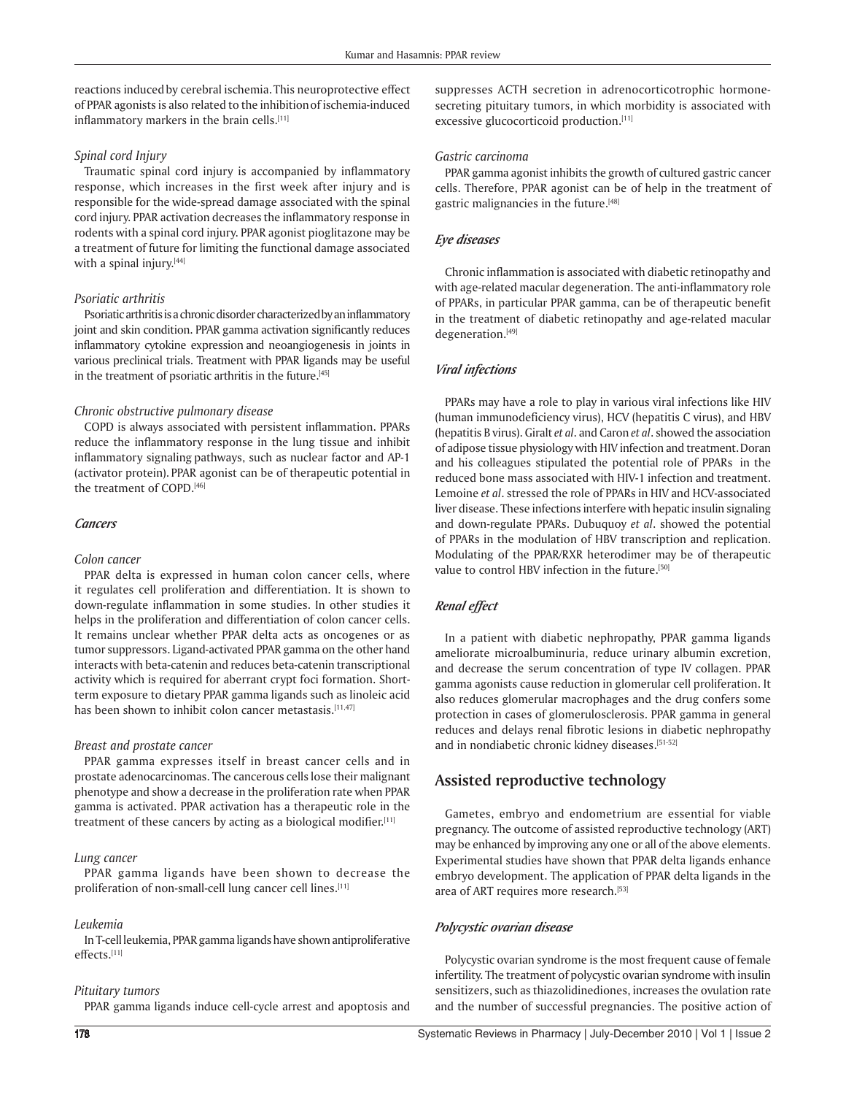reactions inducedby cerebral ischemia.This neuroprotective effect of PPAR agonists is also related to the inhibitionof ischemia-induced inflammatory markers in the brain cells.<sup>[11]</sup>

#### *Spinal cord Injury*

Traumatic spinal cord injury is accompanied by inflammatory response, which increases in the first week after injury and is responsible for the wide-spread damage associated with the spinal cord injury. PPAR activation decreases the inflammatory response in rodents with a spinal cord injury. PPAR agonist pioglitazone may be a treatment of future for limiting the functional damage associated with a spinal injury.[44]

#### *Psoriatic arthritis*

Psoriatic arthritis is a chronic disorder characterizedby an inflammatory joint and skin condition. PPAR gamma activation significantly reduces inflammatory cytokine expression and neoangiogenesis in joints in various preclinical trials. Treatment with PPAR ligands may be useful in the treatment of psoriatic arthritis in the future.<sup>[45]</sup>

### *Chronic obstructive pulmonary disease*

COPD is always associated with persistent inflammation. PPARs reduce the inflammatory response in the lung tissue and inhibit inflammatory signaling pathways, such as nuclear factor and AP-1 (activator protein). PPAR agonist can be of therapeutic potential in the treatment of COPD.[46]

#### *Cancers*

#### *Colon cancer*

PPAR delta is expressed in human colon cancer cells, where it regulates cell proliferation and differentiation. It is shown to down-regulate inflammation in some studies. In other studies it helps in the proliferation and differentiation of colon cancer cells. It remains unclear whether PPAR delta acts as oncogenes or as tumor suppressors. Ligand-activated PPAR gamma on the other hand interacts with beta-catenin and reduces beta-catenin transcriptional activity which is required for aberrant crypt foci formation. Shortterm exposure to dietary PPAR gamma ligands such as linoleic acid has been shown to inhibit colon cancer metastasis.<sup>[11,47]</sup>

#### *Breast and prostate cancer*

PPAR gamma expresses itself in breast cancer cells and in prostate adenocarcinomas. The cancerous cells lose their malignant phenotype and show a decrease in the proliferation rate when PPAR gamma is activated. PPAR activation has a therapeutic role in the treatment of these cancers by acting as a biological modifier.[11]

#### *Lung cancer*

PPAR gamma ligands have been shown to decrease the proliferation of non-small-cell lung cancer cell lines.[11]

### *Leukemia*

In T-cell leukemia, PPAR gamma ligands have shown antiproliferative effects.[11]

#### *Pituitary tumors*

PPAR gamma ligands induce cell-cycle arrest and apoptosis and

suppresses ACTH secretion in adrenocorticotrophic hormonesecreting pituitary tumors, in which morbidity is associated with excessive glucocorticoid production.<sup>[11]</sup>

#### *Gastric carcinoma*

PPAR gamma agonist inhibits the growth of cultured gastric cancer cells. Therefore, PPAR agonist can be of help in the treatment of gastric malignancies in the future.<sup>[48]</sup>

#### *Eye diseases*

Chronic inflammation is associated with diabetic retinopathy and with age-related macular degeneration. The anti-inflammatory role of PPARs, in particular PPAR gamma, can be of therapeutic benefit in the treatment of diabetic retinopathy and age-related macular degeneration.[49]

### *Viral infections*

PPARs may have a role to play in various viral infections like HIV (human immunodeficiency virus), HCV (hepatitis C virus), and HBV (hepatitis B virus). Giralt *et al*. and Caron *et al*. showed the association of adipose tissue physiology with HIV infection and treatment.Doran and his colleagues stipulated the potential role of PPARs in the reduced bone mass associated with HIV-1 infection and treatment. Lemoine *et al*. stressed the role of PPARs in HIV and HCV-associated liver disease. These infections interfere with hepatic insulin signaling and down-regulate PPARs. Dubuquoy *et al*. showed the potential of PPARs in the modulation of HBV transcription and replication. Modulating of the PPAR/RXR heterodimer may be of therapeutic value to control HBV infection in the future.<sup>[50]</sup>

### *Renal effect*

In a patient with diabetic nephropathy, PPAR gamma ligands ameliorate microalbuminuria, reduce urinary albumin excretion, and decrease the serum concentration of type IV collagen. PPAR gamma agonists cause reduction in glomerular cell proliferation. It also reduces glomerular macrophages and the drug confers some protection in cases of glomerulosclerosis. PPAR gamma in general reduces and delays renal fibrotic lesions in diabetic nephropathy and in nondiabetic chronic kidney diseases.<sup>[51-52]</sup>

## **Assisted reproductive technology**

Gametes, embryo and endometrium are essential for viable pregnancy. The outcome of assisted reproductive technology (ART) may be enhanced by improving any one or all of the above elements. Experimental studies have shown that PPAR delta ligands enhance embryo development. The application of PPAR delta ligands in the area of ART requires more research.<sup>[53]</sup>

### *Polycystic ovarian disease*

Polycystic ovarian syndrome is the most frequent cause of female infertility. The treatment of polycystic ovarian syndrome with insulin sensitizers, such as thiazolidinediones, increases the ovulation rate and the number of successful pregnancies. The positive action of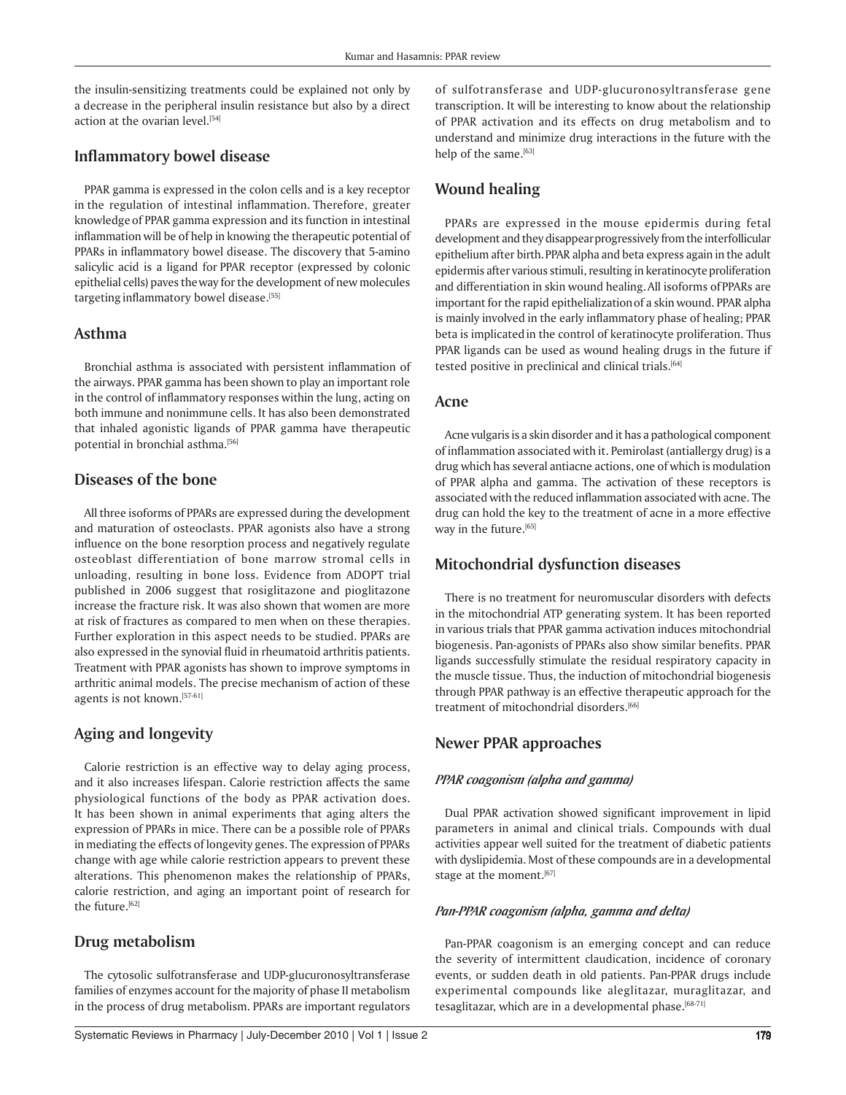the insulin-sensitizing treatments could be explained not only by a decrease in the peripheral insulin resistance but also by a direct action at the ovarian level.[54]

## **Inflammatory bowel disease**

PPAR gamma is expressed in the colon cells and is a key receptor in the regulation of intestinal inflammation. Therefore, greater knowledgeof PPAR gamma expression and its function in intestinal inflammation will be of help in knowing the therapeutic potential of PPARs in inflammatory bowel disease. The discovery that 5-amino salicylic acid is a ligand for PPAR receptor (expressed by colonic epithelial cells) paves theway for the development of new molecules targeting inflammatory bowel disease.[55]

## **Asthma**

Bronchial asthma is associated with persistent inflammation of the airways. PPAR gamma has been shown to play an important role in the control of inflammatory responses within the lung, acting on both immune and nonimmune cells. It has also been demonstrated that inhaled agonistic ligands of PPAR gamma have therapeutic potential in bronchial asthma.<sup>[56]</sup>

## **Diseases of the bone**

All three isoforms of PPARs are expressed during the development and maturation of osteoclasts. PPAR agonists also have a strong influence on the bone resorption process and negatively regulate osteoblast differentiation of bone marrow stromal cells in unloading, resulting in bone loss. Evidence from ADOPT trial published in 2006 suggest that rosiglitazone and pioglitazone increase the fracture risk. It was also shown that women are more at risk of fractures as compared to men when on these therapies. Further exploration in this aspect needs to be studied. PPARs are also expressed in the synovial fluid in rheumatoid arthritis patients. Treatment with PPAR agonists has shown to improve symptoms in arthritic animal models. The precise mechanism of action of these agents is not known.[57-61]

## **Aging and longevity**

Calorie restriction is an effective way to delay aging process, and it also increases lifespan. Calorie restriction affects the same physiological functions of the body as PPAR activation does. It has been shown in animal experiments that aging alters the expression of PPARs in mice. There can be a possible role of PPARs in mediating the effects of longevity genes. The expression of PPARs change with age while calorie restriction appears to prevent these alterations. This phenomenon makes the relationship of PPARs, calorie restriction, and aging an important point of research for the future.[62]

## **Drug metabolism**

The cytosolic sulfotransferase and UDP-glucuronosyltransferase families of enzymes account for the majority of phase II metabolism in the process of drug metabolism. PPARs are important regulators of sulfotransferase and UDP-glucuronosyltransferase gene transcription. It will be interesting to know about the relationship of PPAR activation and its effects on drug metabolism and to understand and minimize drug interactions in the future with the help of the same.[63]

## **Wound healing**

PPARs are expressed in the mouse epidermis during fetal development and they disappearprogressively from the interfollicular epithelium after birth.PPAR alpha and beta express again in the adult epidermis after various stimuli, resulting in keratinocyte proliferation and differentiation in skin wound healing.All isoforms of PPARs are important for the rapid epithelializationof a skin wound. PPAR alpha is mainly involved in the early inflammatory phase of healing; PPAR beta is implicatedin the control of keratinocyte proliferation. Thus PPAR ligands can be used as wound healing drugs in the future if tested positive in preclinical and clinical trials.<sup>[64]</sup>

## **Acne**

Acne vulgaris is a skin disorder and it has a pathological component of inflammation associated with it. Pemirolast (antiallergy drug) is a drug which has several antiacne actions, one of which is modulation of PPAR alpha and gamma. The activation of these receptors is associated with the reduced inflammation associated with acne. The drug can hold the key to the treatment of acne in a more effective way in the future.[65]

## **Mitochondrial dysfunction diseases**

There is no treatment for neuromuscular disorders with defects in the mitochondrial ATP generating system. It has been reported in various trials that PPAR gamma activation induces mitochondrial biogenesis. Pan-agonists of PPARs also show similar benefits. PPAR ligands successfully stimulate the residual respiratory capacity in the muscle tissue. Thus, the induction of mitochondrial biogenesis through PPAR pathway is an effective therapeutic approach for the treatment of mitochondrial disorders.<sup>[66]</sup>

## **Newer PPAR approaches**

### *PPAR coagonism (alpha and gamma)*

Dual PPAR activation showed significant improvement in lipid parameters in animal and clinical trials. Compounds with dual activities appear well suited for the treatment of diabetic patients with dyslipidemia. Most of these compounds are in a developmental stage at the moment.<sup>[67]</sup>

### *Pan-PPAR coagonism (alpha, gamma and delta)*

Pan-PPAR coagonism is an emerging concept and can reduce the severity of intermittent claudication, incidence of coronary events, or sudden death in old patients. Pan-PPAR drugs include experimental compounds like aleglitazar, muraglitazar, and tesaglitazar, which are in a developmental phase.[68-71]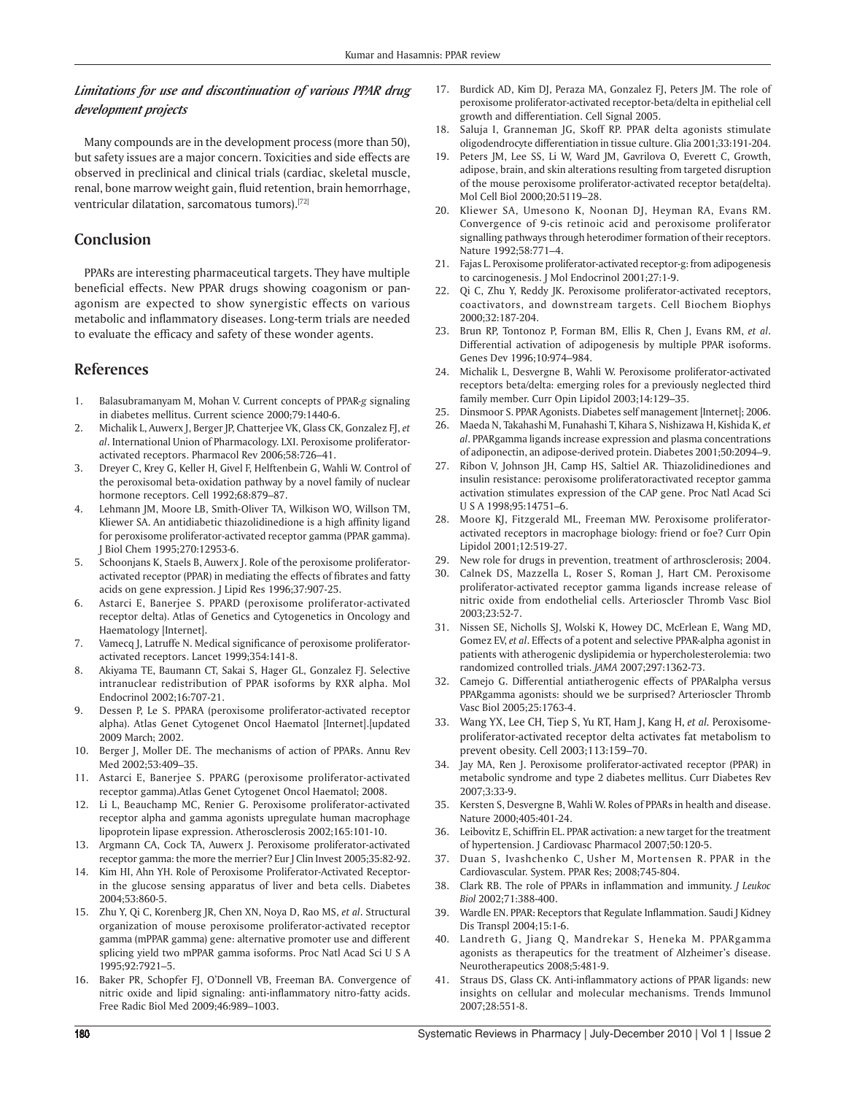### *Limitations for use and discontinuation of various PPAR drug development projects*

Many compounds are in the development process (more than 50), but safety issues are a major concern. Toxicities and side effects are observed in preclinical and clinical trials (cardiac, skeletal muscle, renal, bone marrow weight gain, fluid retention, brain hemorrhage, ventricular dilatation, sarcomatous tumors).[72]

### **Conclusion**

PPARs are interesting pharmaceutical targets. They have multiple beneficial effects. New PPAR drugs showing coagonism or panagonism are expected to show synergistic effects on various metabolic and inflammatory diseases. Long-term trials are needed to evaluate the efficacy and safety of these wonder agents.

#### **References**

- 1. Balasubramanyam M, Mohan V. Current concepts of PPAR-*g* signaling in diabetes mellitus. Current science 2000;79:1440-6.
- 2. Michalik L, Auwerx J, Berger JP, Chatterjee VK, Glass CK, Gonzalez FJ, *et al*. International Union of Pharmacology. LXI. Peroxisome proliferatoractivated receptors. Pharmacol Rev 2006;58:726–41.
- 3. Dreyer C, Krey G, Keller H, Givel F, Helftenbein G, Wahli W. Control of the peroxisomal beta-oxidation pathway by a novel family of nuclear hormone receptors. Cell 1992;68:879–87.
- 4. Lehmann JM, Moore LB, Smith-Oliver TA, Wilkison WO, Willson TM, Kliewer SA. An antidiabetic thiazolidinedione is a high affinity ligand for peroxisome proliferator-activated receptor gamma (PPAR gamma). J Biol Chem 1995;270:12953-6.
- 5. Schoonjans K, Staels B, Auwerx J. Role of the peroxisome proliferatoractivated receptor (PPAR) in mediating the effects of fibrates and fatty acids on gene expression. J Lipid Res 1996;37:907-25.
- 6. Astarci E, Banerjee S. PPARD (peroxisome proliferator-activated receptor delta). Atlas of Genetics and Cytogenetics in Oncology and Haematology [Internet].
- 7. Vamecq J, Latruffe N. Medical significance of peroxisome proliferatoractivated receptors. Lancet 1999;354:141-8.
- 8. Akiyama TE, Baumann CT, Sakai S, Hager GL, Gonzalez FJ. Selective intranuclear redistribution of PPAR isoforms by RXR alpha. Mol Endocrinol 2002;16:707-21.
- 9. Dessen P, Le S. PPARA (peroxisome proliferator-activated receptor alpha). Atlas Genet Cytogenet Oncol Haematol [Internet].[updated 2009 March; 2002.
- 10. Berger J, Moller DE. The mechanisms of action of PPARs. Annu Rev Med 2002;53:409–35.
- 11. Astarci E, Banerjee S. PPARG (peroxisome proliferator-activated receptor gamma).Atlas Genet Cytogenet Oncol Haematol; 2008.
- 12. Li L, Beauchamp MC, Renier G. Peroxisome proliferator-activated receptor alpha and gamma agonists upregulate human macrophage lipoprotein lipase expression. Atherosclerosis 2002;165:101-10.
- 13. Argmann CA, Cock TA, Auwerx J. Peroxisome proliferator-activated receptor gamma: the more the merrier? Eur J Clin Invest 2005;35:82-92.
- 14. Kim HI, Ahn YH. Role of Peroxisome Proliferator-Activated Receptorin the glucose sensing apparatus of liver and beta cells. Diabetes 2004;53:860-5.
- 15. Zhu Y, Qi C, Korenberg JR, Chen XN, Noya D, Rao MS, *et al*. Structural organization of mouse peroxisome proliferator-activated receptor gamma (mPPAR gamma) gene: alternative promoter use and different splicing yield two mPPAR gamma isoforms. Proc Natl Acad Sci U S A 1995;92:7921–5.
- 16. Baker PR, Schopfer FJ, O'Donnell VB, Freeman BA. Convergence of nitric oxide and lipid signaling: anti-inflammatory nitro-fatty acids. Free Radic Biol Med 2009;46:989–1003.
- 17. Burdick AD, Kim DJ, Peraza MA, Gonzalez FJ, Peters JM. The role of peroxisome proliferator-activated receptor-beta/delta in epithelial cell growth and differentiation. Cell Signal 2005.
- 18. Saluja I, Granneman JG, Skoff RP. PPAR delta agonists stimulate oligodendrocyte differentiation in tissue culture. Glia 2001;33:191-204.
- 19. Peters JM, Lee SS, Li W, Ward JM, Gavrilova O, Everett C, Growth, adipose, brain, and skin alterations resulting from targeted disruption of the mouse peroxisome proliferator-activated receptor beta(delta). Mol Cell Biol 2000;20:5119–28.
- 20. Kliewer SA, Umesono K, Noonan DJ, Heyman RA, Evans RM. Convergence of 9-cis retinoic acid and peroxisome proliferator signalling pathways through heterodimer formation of their receptors. Nature 1992;58:771–4.
- 21. Fajas L. Peroxisome proliferator-activated receptor-g: from adipogenesis to carcinogenesis. J Mol Endocrinol 2001;27:1-9.
- 22. Qi C, Zhu Y, Reddy JK. Peroxisome proliferator-activated receptors, coactivators, and downstream targets. Cell Biochem Biophys 2000;32:187-204.
- 23. Brun RP, Tontonoz P, Forman BM, Ellis R, Chen J, Evans RM, *et al*. Differential activation of adipogenesis by multiple PPAR isoforms. Genes Dev 1996;10:974–984.
- 24. Michalik L, Desvergne B, Wahli W. Peroxisome proliferator-activated receptors beta/delta: emerging roles for a previously neglected third family member. Curr Opin Lipidol 2003;14:129–35.
- 25. Dinsmoor S. PPAR Agonists. Diabetes self management [Internet]; 2006.
- 26. Maeda N, Takahashi M, Funahashi T, Kihara S, Nishizawa H, Kishida K, *et al*. PPARgamma ligands increase expression and plasma concentrations of adiponectin, an adipose-derived protein. Diabetes 2001;50:2094–9.
- 27. Ribon V, Johnson JH, Camp HS, Saltiel AR. Thiazolidinediones and insulin resistance: peroxisome proliferatoractivated receptor gamma activation stimulates expression of the CAP gene. Proc Natl Acad Sci U S A 1998;95:14751–6.
- 28. Moore KJ, Fitzgerald ML, Freeman MW. Peroxisome proliferatoractivated receptors in macrophage biology: friend or foe? Curr Opin Lipidol 2001;12:519-27.
- 29. New role for drugs in prevention, treatment of arthrosclerosis; 2004.
- 30. Calnek DS, Mazzella L, Roser S, Roman J, Hart CM. Peroxisome proliferator-activated receptor gamma ligands increase release of nitric oxide from endothelial cells. Arterioscler Thromb Vasc Biol 2003;23:52-7.
- 31. Nissen SE, Nicholls SJ, Wolski K, Howey DC, McErlean E, Wang MD, Gomez EV, *et al*. Effects of a potent and selective PPAR-alpha agonist in patients with atherogenic dyslipidemia or hypercholesterolemia: two randomized controlled trials. *JAMA* 2007;297:1362-73.
- 32. Camejo G. Differential antiatherogenic effects of PPARalpha versus PPARgamma agonists: should we be surprised? Arterioscler Thromb Vasc Biol 2005;25:1763-4.
- 33. Wang YX, Lee CH, Tiep S, Yu RT, Ham J, Kang H, *et al.* Peroxisomeproliferator-activated receptor delta activates fat metabolism to prevent obesity. Cell 2003;113:159–70.
- 34. Jay MA, Ren J. Peroxisome proliferator-activated receptor (PPAR) in metabolic syndrome and type 2 diabetes mellitus. Curr Diabetes Rev 2007;3:33-9.
- 35. Kersten S, Desvergne B, Wahli W. Roles of PPARs in health and disease. Nature 2000;405:401-24.
- 36. Leibovitz E, Schiffrin EL. PPAR activation: a new target for the treatment of hypertension. J Cardiovasc Pharmacol 2007;50:120-5.
- 37. Duan S, Ivashchenko C, Usher M, Mortensen R. PPAR in the Cardiovascular. System. PPAR Res; 2008;745-804.
- 38. Clark RB. The role of PPARs in inflammation and immunity. *J Leukoc Biol* 2002;71:388-400.
- 39. Wardle EN. PPAR: Receptors that Regulate Inflammation. Saudi J Kidney Dis Transpl 2004;15:1-6.
- 40. Landreth G, Jiang Q, Mandrekar S, Heneka M. PPARgamma agonists as therapeutics for the treatment of Alzheimer's disease. Neurotherapeutics 2008;5:481-9.
- 41. Straus DS, Glass CK. Anti-inflammatory actions of PPAR ligands: new insights on cellular and molecular mechanisms. Trends Immunol 2007;28:551-8.